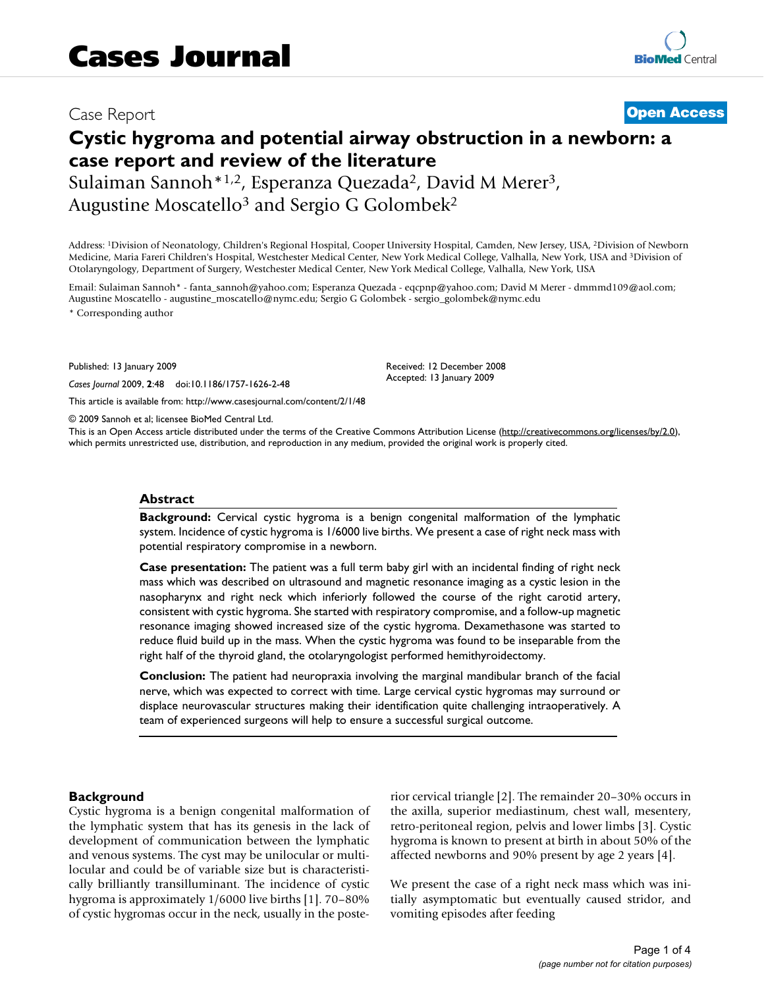## Case Report **[Open Access](http://www.biomedcentral.com/info/about/charter/)**

# **Cystic hygroma and potential airway obstruction in a newborn: a case report and review of the literature**

Sulaiman Sannoh\*1,2, Esperanza Quezada2, David M Merer3, Augustine Moscatello3 and Sergio G Golombek2

Address: 1Division of Neonatology, Children's Regional Hospital, Cooper University Hospital, Camden, New Jersey, USA, 2Division of Newborn Medicine, Maria Fareri Children's Hospital, Westchester Medical Center, New York Medical College, Valhalla, New York, USA and 3Division of Otolaryngology, Department of Surgery, Westchester Medical Center, New York Medical College, Valhalla, New York, USA

Email: Sulaiman Sannoh\* - fanta\_sannoh@yahoo.com; Esperanza Quezada - eqcpnp@yahoo.com; David M Merer - dmmmd109@aol.com; Augustine Moscatello - augustine\_moscatello@nymc.edu; Sergio G Golombek - sergio\_golombek@nymc.edu

\* Corresponding author

Published: 13 January 2009

*Cases Journal* 2009, **2**:48 doi:10.1186/1757-1626-2-48

[This article is available from: http://www.casesjournal.com/content/2/1/48](http://www.casesjournal.com/content/2/1/48)

© 2009 Sannoh et al; licensee BioMed Central Ltd.

This is an Open Access article distributed under the terms of the Creative Commons Attribution License [\(http://creativecommons.org/licenses/by/2.0\)](http://creativecommons.org/licenses/by/2.0), which permits unrestricted use, distribution, and reproduction in any medium, provided the original work is properly cited.

Received: 12 December 2008 Accepted: 13 January 2009

#### **Abstract**

**Background:** Cervical cystic hygroma is a benign congenital malformation of the lymphatic system. Incidence of cystic hygroma is 1/6000 live births. We present a case of right neck mass with potential respiratory compromise in a newborn.

**Case presentation:** The patient was a full term baby girl with an incidental finding of right neck mass which was described on ultrasound and magnetic resonance imaging as a cystic lesion in the nasopharynx and right neck which inferiorly followed the course of the right carotid artery, consistent with cystic hygroma. She started with respiratory compromise, and a follow-up magnetic resonance imaging showed increased size of the cystic hygroma. Dexamethasone was started to reduce fluid build up in the mass. When the cystic hygroma was found to be inseparable from the right half of the thyroid gland, the otolaryngologist performed hemithyroidectomy.

**Conclusion:** The patient had neuropraxia involving the marginal mandibular branch of the facial nerve, which was expected to correct with time. Large cervical cystic hygromas may surround or displace neurovascular structures making their identification quite challenging intraoperatively. A team of experienced surgeons will help to ensure a successful surgical outcome.

#### **Background**

Cystic hygroma is a benign congenital malformation of the lymphatic system that has its genesis in the lack of development of communication between the lymphatic and venous systems. The cyst may be unilocular or multilocular and could be of variable size but is characteristically brilliantly transilluminant. The incidence of cystic hygroma is approximately 1/6000 live births [1]. 70–80% of cystic hygromas occur in the neck, usually in the posterior cervical triangle [2]. The remainder 20–30% occurs in the axilla, superior mediastinum, chest wall, mesentery, retro-peritoneal region, pelvis and lower limbs [3]. Cystic hygroma is known to present at birth in about 50% of the affected newborns and 90% present by age 2 years [4].

We present the case of a right neck mass which was initially asymptomatic but eventually caused stridor, and vomiting episodes after feeding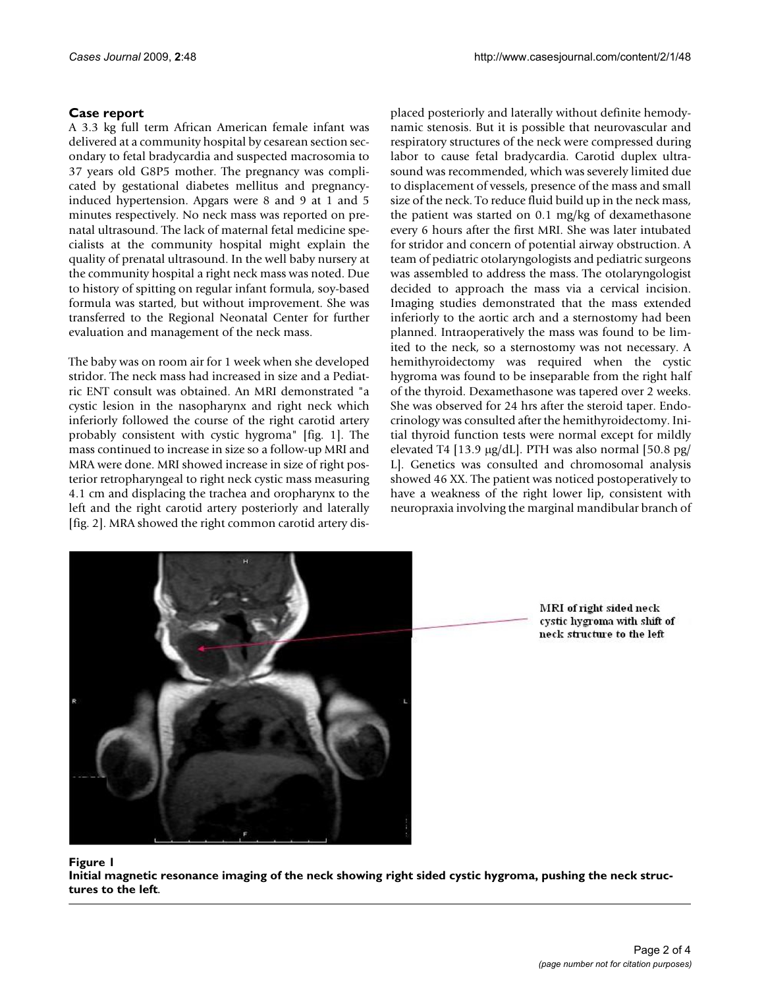### **Case report**

A 3.3 kg full term African American female infant was delivered at a community hospital by cesarean section secondary to fetal bradycardia and suspected macrosomia to 37 years old G8P5 mother. The pregnancy was complicated by gestational diabetes mellitus and pregnancyinduced hypertension. Apgars were 8 and 9 at 1 and 5 minutes respectively. No neck mass was reported on prenatal ultrasound. The lack of maternal fetal medicine specialists at the community hospital might explain the quality of prenatal ultrasound. In the well baby nursery at the community hospital a right neck mass was noted. Due to history of spitting on regular infant formula, soy-based formula was started, but without improvement. She was transferred to the Regional Neonatal Center for further evaluation and management of the neck mass.

The baby was on room air for 1 week when she developed stridor. The neck mass had increased in size and a Pediatric ENT consult was obtained. An MRI demonstrated "a cystic lesion in the nasopharynx and right neck which inferiorly followed the course of the right carotid artery probably consistent with cystic hygroma" [fig. 1]. The mass continued to increase in size so a follow-up MRI and MRA were done. MRI showed increase in size of right posterior retropharyngeal to right neck cystic mass measuring 4.1 cm and displacing the trachea and oropharynx to the left and the right carotid artery posteriorly and laterally [fig. 2]. MRA showed the right common carotid artery displaced posteriorly and laterally without definite hemodynamic stenosis. But it is possible that neurovascular and respiratory structures of the neck were compressed during labor to cause fetal bradycardia. Carotid duplex ultrasound was recommended, which was severely limited due to displacement of vessels, presence of the mass and small size of the neck. To reduce fluid build up in the neck mass, the patient was started on 0.1 mg/kg of dexamethasone every 6 hours after the first MRI. She was later intubated for stridor and concern of potential airway obstruction. A team of pediatric otolaryngologists and pediatric surgeons was assembled to address the mass. The otolaryngologist decided to approach the mass via a cervical incision. Imaging studies demonstrated that the mass extended inferiorly to the aortic arch and a sternostomy had been planned. Intraoperatively the mass was found to be limited to the neck, so a sternostomy was not necessary. A hemithyroidectomy was required when the cystic hygroma was found to be inseparable from the right half of the thyroid. Dexamethasone was tapered over 2 weeks. She was observed for 24 hrs after the steroid taper. Endocrinology was consulted after the hemithyroidectomy. Initial thyroid function tests were normal except for mildly elevated T4 [13.9 μg/dL]. PTH was also normal [50.8 pg/ L]. Genetics was consulted and chromosomal analysis showed 46 XX. The patient was noticed postoperatively to have a weakness of the right lower lip, consistent with neuropraxia involving the marginal mandibular branch of



MRI of right sided neck cystic hygroma with shift of neck structure to the left

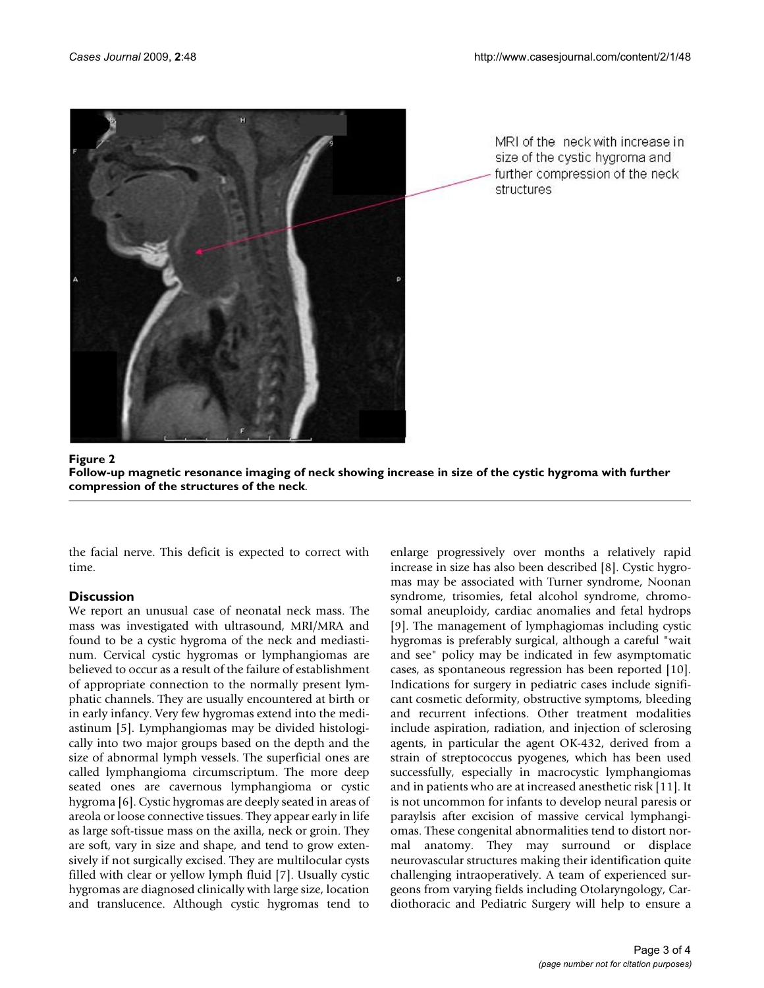

MRI of the ineck with increase in size of the cystic hygroma and further compression of the neck structures

Follow-up magnetic resonance imaging of ne structures of the neck **Figure 2** ck showing increase in size of the cystic hygroma with further compression of the **Follow-up magnetic resonance imaging of neck showing increase in size of the cystic hygroma with further compression of the structures of the neck**.

the facial nerve. This deficit is expected to correct with time.

### **Discussion**

We report an unusual case of neonatal neck mass. The mass was investigated with ultrasound, MRI/MRA and found to be a cystic hygroma of the neck and mediastinum. Cervical cystic hygromas or lymphangiomas are believed to occur as a result of the failure of establishment of appropriate connection to the normally present lymphatic channels. They are usually encountered at birth or in early infancy. Very few hygromas extend into the mediastinum [5]. Lymphangiomas may be divided histologically into two major groups based on the depth and the size of abnormal lymph vessels. The superficial ones are called lymphangioma circumscriptum. The more deep seated ones are cavernous lymphangioma or cystic hygroma [6]. Cystic hygromas are deeply seated in areas of areola or loose connective tissues. They appear early in life as large soft-tissue mass on the axilla, neck or groin. They are soft, vary in size and shape, and tend to grow extensively if not surgically excised. They are multilocular cysts filled with clear or yellow lymph fluid [7]. Usually cystic hygromas are diagnosed clinically with large size, location and translucence. Although cystic hygromas tend to enlarge progressively over months a relatively rapid increase in size has also been described [8]. Cystic hygromas may be associated with Turner syndrome, Noonan syndrome, trisomies, fetal alcohol syndrome, chromosomal aneuploidy, cardiac anomalies and fetal hydrops [9]. The management of lymphagiomas including cystic hygromas is preferably surgical, although a careful "wait and see" policy may be indicated in few asymptomatic cases, as spontaneous regression has been reported [10]. Indications for surgery in pediatric cases include significant cosmetic deformity, obstructive symptoms, bleeding and recurrent infections. Other treatment modalities include aspiration, radiation, and injection of sclerosing agents, in particular the agent OK-432, derived from a strain of streptococcus pyogenes, which has been used successfully, especially in macrocystic lymphangiomas and in patients who are at increased anesthetic risk [11]. It is not uncommon for infants to develop neural paresis or paraylsis after excision of massive cervical lymphangiomas. These congenital abnormalities tend to distort normal anatomy. They may surround or displace neurovascular structures making their identification quite challenging intraoperatively. A team of experienced surgeons from varying fields including Otolaryngology, Cardiothoracic and Pediatric Surgery will help to ensure a